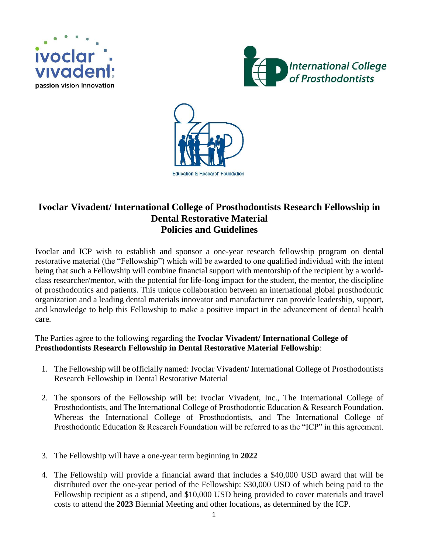





## **Ivoclar Vivadent/ International College of Prosthodontists Research Fellowship in Dental Restorative Material Policies and Guidelines**

Ivoclar and ICP wish to establish and sponsor a one-year research fellowship program on dental restorative material (the "Fellowship") which will be awarded to one qualified individual with the intent being that such a Fellowship will combine financial support with mentorship of the recipient by a worldclass researcher/mentor, with the potential for life-long impact for the student, the mentor, the discipline of prosthodontics and patients. This unique collaboration between an international global prosthodontic organization and a leading dental materials innovator and manufacturer can provide leadership, support, and knowledge to help this Fellowship to make a positive impact in the advancement of dental health care.

## The Parties agree to the following regarding the **Ivoclar Vivadent/ International College of Prosthodontists Research Fellowship in Dental Restorative Material Fellowship**:

- 1. The Fellowship will be officially named: Ivoclar Vivadent/ International College of Prosthodontists Research Fellowship in Dental Restorative Material
- 2. The sponsors of the Fellowship will be: Ivoclar Vivadent, Inc., The International College of Prosthodontists, and The International College of Prosthodontic Education & Research Foundation. Whereas the International College of Prosthodontists, and The International College of Prosthodontic Education & Research Foundation will be referred to as the "ICP" in this agreement.
- 3. The Fellowship will have a one-year term beginning in **2022**
- 4. The Fellowship will provide a financial award that includes a \$40,000 USD award that will be distributed over the one-year period of the Fellowship: \$30,000 USD of which being paid to the Fellowship recipient as a stipend, and \$10,000 USD being provided to cover materials and travel costs to attend the **2023** Biennial Meeting and other locations, as determined by the ICP.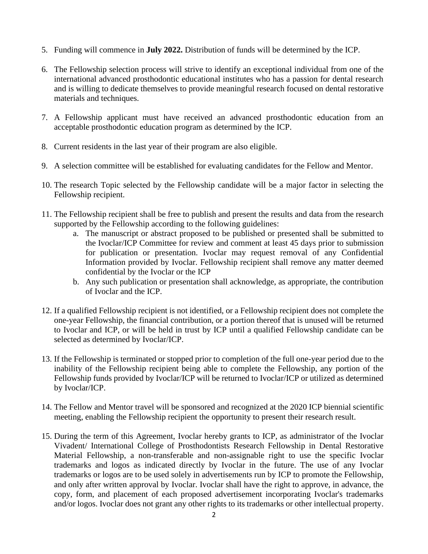- 5. Funding will commence in **July 2022.** Distribution of funds will be determined by the ICP.
- 6. The Fellowship selection process will strive to identify an exceptional individual from one of the international advanced prosthodontic educational institutes who has a passion for dental research and is willing to dedicate themselves to provide meaningful research focused on dental restorative materials and techniques.
- 7. A Fellowship applicant must have received an advanced prosthodontic education from an acceptable prosthodontic education program as determined by the ICP.
- 8. Current residents in the last year of their program are also eligible.
- 9. A selection committee will be established for evaluating candidates for the Fellow and Mentor.
- 10. The research Topic selected by the Fellowship candidate will be a major factor in selecting the Fellowship recipient.
- 11. The Fellowship recipient shall be free to publish and present the results and data from the research supported by the Fellowship according to the following guidelines:
	- a. The manuscript or abstract proposed to be published or presented shall be submitted to the Ivoclar/ICP Committee for review and comment at least 45 days prior to submission for publication or presentation. Ivoclar may request removal of any Confidential Information provided by Ivoclar. Fellowship recipient shall remove any matter deemed confidential by the Ivoclar or the ICP
	- b. Any such publication or presentation shall acknowledge, as appropriate, the contribution of Ivoclar and the ICP.
- 12. If a qualified Fellowship recipient is not identified, or a Fellowship recipient does not complete the one-year Fellowship, the financial contribution, or a portion thereof that is unused will be returned to Ivoclar and ICP, or will be held in trust by ICP until a qualified Fellowship candidate can be selected as determined by Ivoclar/ICP.
- 13. If the Fellowship is terminated or stopped prior to completion of the full one-year period due to the inability of the Fellowship recipient being able to complete the Fellowship, any portion of the Fellowship funds provided by Ivoclar/ICP will be returned to Ivoclar/ICP or utilized as determined by Ivoclar/ICP.
- 14. The Fellow and Mentor travel will be sponsored and recognized at the 2020 ICP biennial scientific meeting, enabling the Fellowship recipient the opportunity to present their research result.
- 15. During the term of this Agreement, Ivoclar hereby grants to ICP, as administrator of the Ivoclar Vivadent/ International College of Prosthodontists Research Fellowship in Dental Restorative Material Fellowship, a non-transferable and non-assignable right to use the specific Ivoclar trademarks and logos as indicated directly by Ivoclar in the future. The use of any Ivoclar trademarks or logos are to be used solely in advertisements run by ICP to promote the Fellowship, and only after written approval by Ivoclar. Ivoclar shall have the right to approve, in advance, the copy, form, and placement of each proposed advertisement incorporating Ivoclar's trademarks and/or logos. Ivoclar does not grant any other rights to its trademarks or other intellectual property.